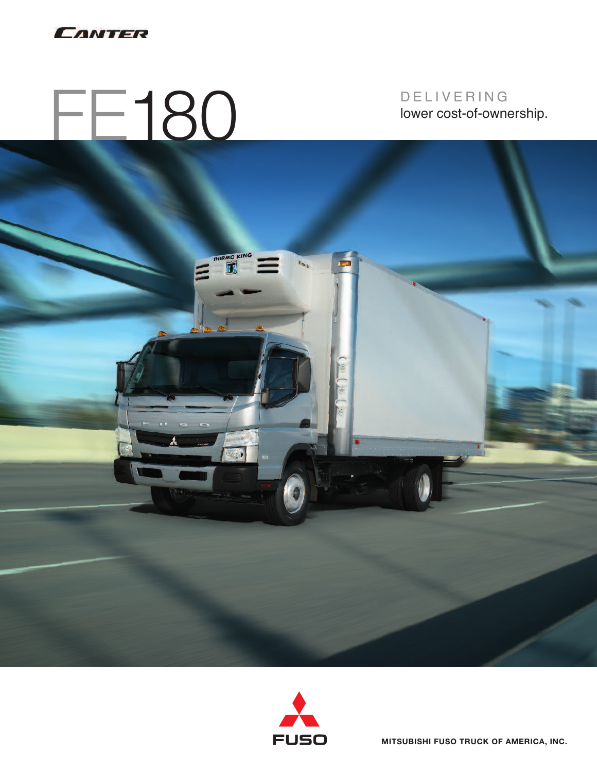

# FE180

D E L I V E R I N G lower cost-of-ownership.